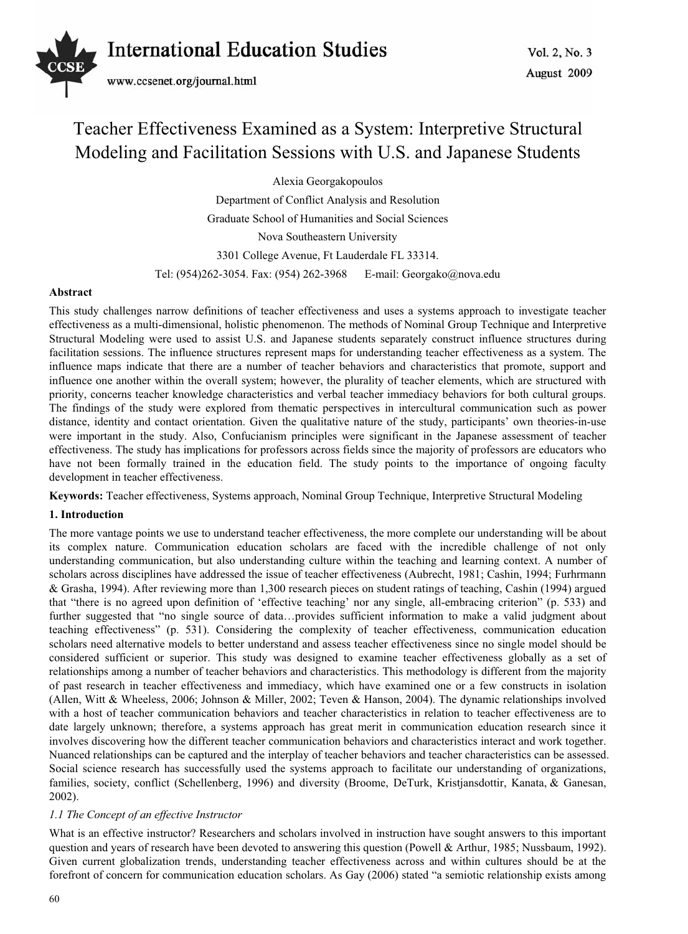

# Teacher Effectiveness Examined as a System: Interpretive Structural Modeling and Facilitation Sessions with U.S. and Japanese Students

Alexia Georgakopoulos Department of Conflict Analysis and Resolution Graduate School of Humanities and Social Sciences Nova Southeastern University 3301 College Avenue, Ft Lauderdale FL 33314. Tel: (954)262-3054. Fax: (954) 262-3968 E-mail: Georgako@nova.edu

#### **Abstract**

This study challenges narrow definitions of teacher effectiveness and uses a systems approach to investigate teacher effectiveness as a multi-dimensional, holistic phenomenon. The methods of Nominal Group Technique and Interpretive Structural Modeling were used to assist U.S. and Japanese students separately construct influence structures during facilitation sessions. The influence structures represent maps for understanding teacher effectiveness as a system. The influence maps indicate that there are a number of teacher behaviors and characteristics that promote, support and influence one another within the overall system; however, the plurality of teacher elements, which are structured with priority, concerns teacher knowledge characteristics and verbal teacher immediacy behaviors for both cultural groups. The findings of the study were explored from thematic perspectives in intercultural communication such as power distance, identity and contact orientation. Given the qualitative nature of the study, participants' own theories-in-use were important in the study. Also, Confucianism principles were significant in the Japanese assessment of teacher effectiveness. The study has implications for professors across fields since the majority of professors are educators who have not been formally trained in the education field. The study points to the importance of ongoing faculty development in teacher effectiveness.

**Keywords:** Teacher effectiveness, Systems approach, Nominal Group Technique, Interpretive Structural Modeling

#### **1. Introduction**

The more vantage points we use to understand teacher effectiveness, the more complete our understanding will be about its complex nature. Communication education scholars are faced with the incredible challenge of not only understanding communication, but also understanding culture within the teaching and learning context. A number of scholars across disciplines have addressed the issue of teacher effectiveness (Aubrecht, 1981; Cashin, 1994; Furhrmann & Grasha, 1994). After reviewing more than 1,300 research pieces on student ratings of teaching, Cashin (1994) argued that "there is no agreed upon definition of 'effective teaching' nor any single, all-embracing criterion" (p. 533) and further suggested that "no single source of data…provides sufficient information to make a valid judgment about teaching effectiveness" (p. 531). Considering the complexity of teacher effectiveness, communication education scholars need alternative models to better understand and assess teacher effectiveness since no single model should be considered sufficient or superior. This study was designed to examine teacher effectiveness globally as a set of relationships among a number of teacher behaviors and characteristics. This methodology is different from the majority of past research in teacher effectiveness and immediacy, which have examined one or a few constructs in isolation (Allen, Witt & Wheeless, 2006; Johnson & Miller, 2002; Teven & Hanson, 2004). The dynamic relationships involved with a host of teacher communication behaviors and teacher characteristics in relation to teacher effectiveness are to date largely unknown; therefore, a systems approach has great merit in communication education research since it involves discovering how the different teacher communication behaviors and characteristics interact and work together. Nuanced relationships can be captured and the interplay of teacher behaviors and teacher characteristics can be assessed. Social science research has successfully used the systems approach to facilitate our understanding of organizations, families, society, conflict (Schellenberg, 1996) and diversity (Broome, DeTurk, Kristjansdottir, Kanata, & Ganesan, 2002).

#### *1.1 The Concept of an effective Instructor*

What is an effective instructor? Researchers and scholars involved in instruction have sought answers to this important question and years of research have been devoted to answering this question (Powell & Arthur, 1985; Nussbaum, 1992). Given current globalization trends, understanding teacher effectiveness across and within cultures should be at the forefront of concern for communication education scholars. As Gay (2006) stated "a semiotic relationship exists among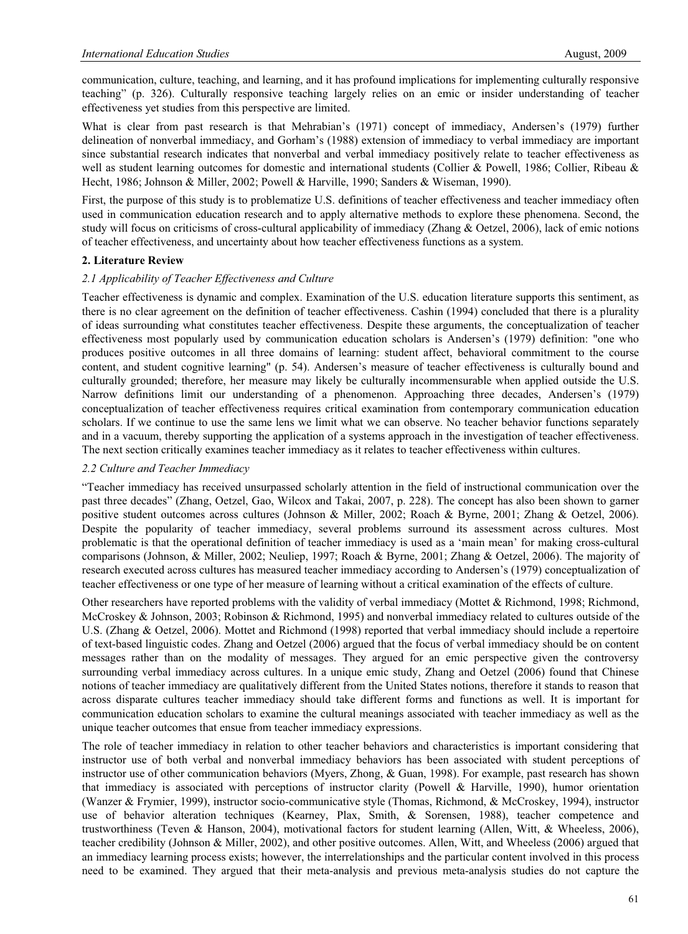communication, culture, teaching, and learning, and it has profound implications for implementing culturally responsive teaching" (p. 326). Culturally responsive teaching largely relies on an emic or insider understanding of teacher effectiveness yet studies from this perspective are limited.

What is clear from past research is that Mehrabian's (1971) concept of immediacy, Andersen's (1979) further delineation of nonverbal immediacy, and Gorham's (1988) extension of immediacy to verbal immediacy are important since substantial research indicates that nonverbal and verbal immediacy positively relate to teacher effectiveness as well as student learning outcomes for domestic and international students (Collier & Powell, 1986; Collier, Ribeau & Hecht, 1986; Johnson & Miller, 2002; Powell & Harville, 1990; Sanders & Wiseman, 1990).

First, the purpose of this study is to problematize U.S. definitions of teacher effectiveness and teacher immediacy often used in communication education research and to apply alternative methods to explore these phenomena. Second, the study will focus on criticisms of cross-cultural applicability of immediacy (Zhang & Oetzel, 2006), lack of emic notions of teacher effectiveness, and uncertainty about how teacher effectiveness functions as a system.

#### **2. Literature Review**

#### *2.1 Applicability of Teacher Effectiveness and Culture*

Teacher effectiveness is dynamic and complex. Examination of the U.S. education literature supports this sentiment, as there is no clear agreement on the definition of teacher effectiveness. Cashin (1994) concluded that there is a plurality of ideas surrounding what constitutes teacher effectiveness. Despite these arguments, the conceptualization of teacher effectiveness most popularly used by communication education scholars is Andersen's (1979) definition: "one who produces positive outcomes in all three domains of learning: student affect, behavioral commitment to the course content, and student cognitive learning" (p. 54). Andersen's measure of teacher effectiveness is culturally bound and culturally grounded; therefore, her measure may likely be culturally incommensurable when applied outside the U.S. Narrow definitions limit our understanding of a phenomenon. Approaching three decades, Andersen's (1979) conceptualization of teacher effectiveness requires critical examination from contemporary communication education scholars. If we continue to use the same lens we limit what we can observe. No teacher behavior functions separately and in a vacuum, thereby supporting the application of a systems approach in the investigation of teacher effectiveness. The next section critically examines teacher immediacy as it relates to teacher effectiveness within cultures.

#### *2.2 Culture and Teacher Immediacy*

"Teacher immediacy has received unsurpassed scholarly attention in the field of instructional communication over the past three decades" (Zhang, Oetzel, Gao, Wilcox and Takai, 2007, p. 228). The concept has also been shown to garner positive student outcomes across cultures (Johnson & Miller, 2002; Roach & Byrne, 2001; Zhang & Oetzel, 2006). Despite the popularity of teacher immediacy, several problems surround its assessment across cultures. Most problematic is that the operational definition of teacher immediacy is used as a 'main mean' for making cross-cultural comparisons (Johnson, & Miller, 2002; Neuliep, 1997; Roach & Byrne, 2001; Zhang & Oetzel, 2006). The majority of research executed across cultures has measured teacher immediacy according to Andersen's (1979) conceptualization of teacher effectiveness or one type of her measure of learning without a critical examination of the effects of culture.

Other researchers have reported problems with the validity of verbal immediacy (Mottet & Richmond, 1998; Richmond, McCroskey & Johnson, 2003; Robinson & Richmond, 1995) and nonverbal immediacy related to cultures outside of the U.S. (Zhang & Oetzel, 2006). Mottet and Richmond (1998) reported that verbal immediacy should include a repertoire of text-based linguistic codes. Zhang and Oetzel (2006) argued that the focus of verbal immediacy should be on content messages rather than on the modality of messages. They argued for an emic perspective given the controversy surrounding verbal immediacy across cultures. In a unique emic study, Zhang and Oetzel (2006) found that Chinese notions of teacher immediacy are qualitatively different from the United States notions, therefore it stands to reason that across disparate cultures teacher immediacy should take different forms and functions as well. It is important for communication education scholars to examine the cultural meanings associated with teacher immediacy as well as the unique teacher outcomes that ensue from teacher immediacy expressions.

The role of teacher immediacy in relation to other teacher behaviors and characteristics is important considering that instructor use of both verbal and nonverbal immediacy behaviors has been associated with student perceptions of instructor use of other communication behaviors (Myers, Zhong, & Guan, 1998). For example, past research has shown that immediacy is associated with perceptions of instructor clarity (Powell & Harville, 1990), humor orientation (Wanzer & Frymier, 1999), instructor socio-communicative style (Thomas, Richmond, & McCroskey, 1994), instructor use of behavior alteration techniques (Kearney, Plax, Smith, & Sorensen, 1988), teacher competence and trustworthiness (Teven & Hanson, 2004), motivational factors for student learning (Allen, Witt, & Wheeless, 2006), teacher credibility (Johnson & Miller, 2002), and other positive outcomes. Allen, Witt, and Wheeless (2006) argued that an immediacy learning process exists; however, the interrelationships and the particular content involved in this process need to be examined. They argued that their meta-analysis and previous meta-analysis studies do not capture the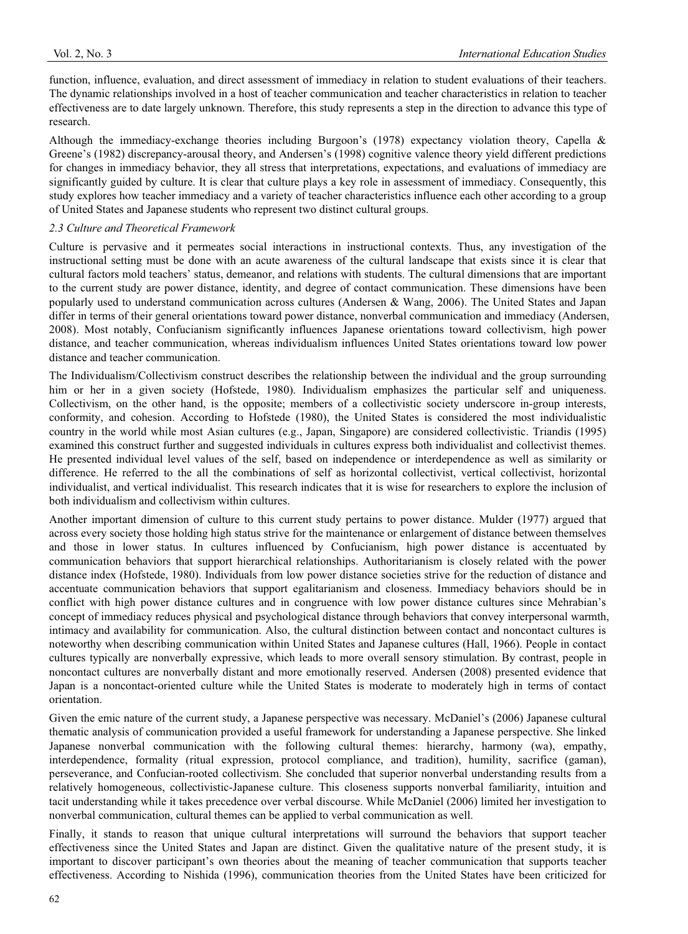function, influence, evaluation, and direct assessment of immediacy in relation to student evaluations of their teachers. The dynamic relationships involved in a host of teacher communication and teacher characteristics in relation to teacher effectiveness are to date largely unknown. Therefore, this study represents a step in the direction to advance this type of research.

Although the immediacy-exchange theories including Burgoon's (1978) expectancy violation theory, Capella & Greene's (1982) discrepancy-arousal theory, and Andersen's (1998) cognitive valence theory yield different predictions for changes in immediacy behavior, they all stress that interpretations, expectations, and evaluations of immediacy are significantly guided by culture. It is clear that culture plays a key role in assessment of immediacy. Consequently, this study explores how teacher immediacy and a variety of teacher characteristics influence each other according to a group of United States and Japanese students who represent two distinct cultural groups.

### *2.3 Culture and Theoretical Framework*

Culture is pervasive and it permeates social interactions in instructional contexts. Thus, any investigation of the instructional setting must be done with an acute awareness of the cultural landscape that exists since it is clear that cultural factors mold teachers' status, demeanor, and relations with students. The cultural dimensions that are important to the current study are power distance, identity, and degree of contact communication. These dimensions have been popularly used to understand communication across cultures (Andersen & Wang, 2006). The United States and Japan differ in terms of their general orientations toward power distance, nonverbal communication and immediacy (Andersen, 2008). Most notably, Confucianism significantly influences Japanese orientations toward collectivism, high power distance, and teacher communication, whereas individualism influences United States orientations toward low power distance and teacher communication.

The Individualism/Collectivism construct describes the relationship between the individual and the group surrounding him or her in a given society (Hofstede, 1980). Individualism emphasizes the particular self and uniqueness. Collectivism, on the other hand, is the opposite; members of a collectivistic society underscore in-group interests, conformity, and cohesion. According to Hofstede (1980), the United States is considered the most individualistic country in the world while most Asian cultures (e.g., Japan, Singapore) are considered collectivistic. Triandis (1995) examined this construct further and suggested individuals in cultures express both individualist and collectivist themes. He presented individual level values of the self, based on independence or interdependence as well as similarity or difference. He referred to the all the combinations of self as horizontal collectivist, vertical collectivist, horizontal individualist, and vertical individualist. This research indicates that it is wise for researchers to explore the inclusion of both individualism and collectivism within cultures.

Another important dimension of culture to this current study pertains to power distance. Mulder (1977) argued that across every society those holding high status strive for the maintenance or enlargement of distance between themselves and those in lower status. In cultures influenced by Confucianism, high power distance is accentuated by communication behaviors that support hierarchical relationships. Authoritarianism is closely related with the power distance index (Hofstede, 1980). Individuals from low power distance societies strive for the reduction of distance and accentuate communication behaviors that support egalitarianism and closeness. Immediacy behaviors should be in conflict with high power distance cultures and in congruence with low power distance cultures since Mehrabian's concept of immediacy reduces physical and psychological distance through behaviors that convey interpersonal warmth, intimacy and availability for communication. Also, the cultural distinction between contact and noncontact cultures is noteworthy when describing communication within United States and Japanese cultures (Hall, 1966). People in contact cultures typically are nonverbally expressive, which leads to more overall sensory stimulation. By contrast, people in noncontact cultures are nonverbally distant and more emotionally reserved. Andersen (2008) presented evidence that Japan is a noncontact-oriented culture while the United States is moderate to moderately high in terms of contact orientation.

Given the emic nature of the current study, a Japanese perspective was necessary. McDaniel's (2006) Japanese cultural thematic analysis of communication provided a useful framework for understanding a Japanese perspective. She linked Japanese nonverbal communication with the following cultural themes: hierarchy, harmony (wa), empathy, interdependence, formality (ritual expression, protocol compliance, and tradition), humility, sacrifice (gaman), perseverance, and Confucian-rooted collectivism. She concluded that superior nonverbal understanding results from a relatively homogeneous, collectivistic-Japanese culture. This closeness supports nonverbal familiarity, intuition and tacit understanding while it takes precedence over verbal discourse. While McDaniel (2006) limited her investigation to nonverbal communication, cultural themes can be applied to verbal communication as well.

Finally, it stands to reason that unique cultural interpretations will surround the behaviors that support teacher effectiveness since the United States and Japan are distinct. Given the qualitative nature of the present study, it is important to discover participant's own theories about the meaning of teacher communication that supports teacher effectiveness. According to Nishida (1996), communication theories from the United States have been criticized for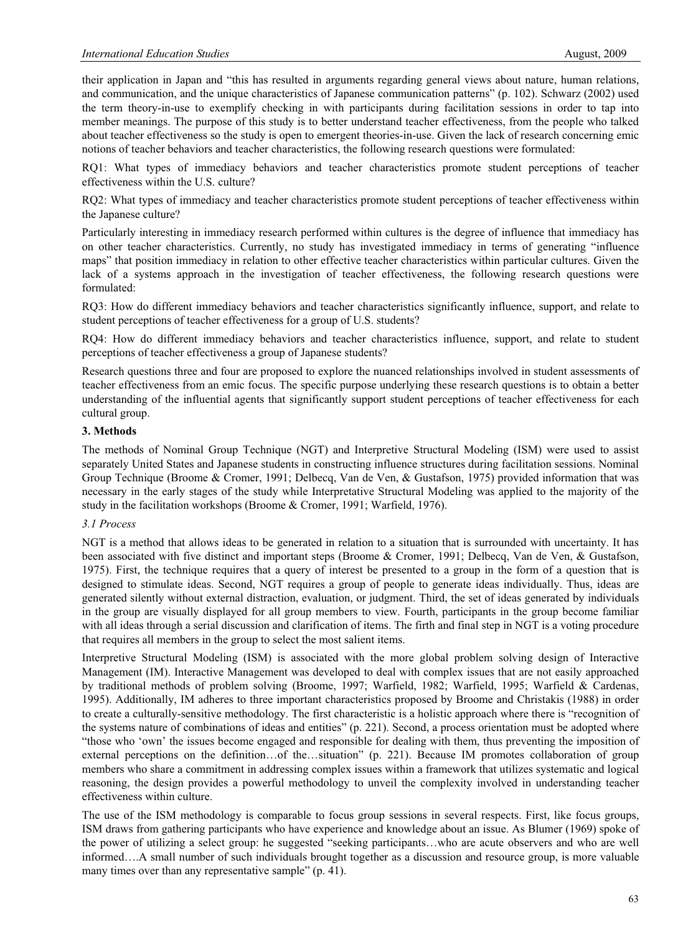their application in Japan and "this has resulted in arguments regarding general views about nature, human relations, and communication, and the unique characteristics of Japanese communication patterns" (p. 102). Schwarz (2002) used the term theory-in-use to exemplify checking in with participants during facilitation sessions in order to tap into member meanings. The purpose of this study is to better understand teacher effectiveness, from the people who talked about teacher effectiveness so the study is open to emergent theories-in-use. Given the lack of research concerning emic notions of teacher behaviors and teacher characteristics, the following research questions were formulated:

RQ1: What types of immediacy behaviors and teacher characteristics promote student perceptions of teacher effectiveness within the U.S. culture?

RQ2: What types of immediacy and teacher characteristics promote student perceptions of teacher effectiveness within the Japanese culture?

Particularly interesting in immediacy research performed within cultures is the degree of influence that immediacy has on other teacher characteristics. Currently, no study has investigated immediacy in terms of generating "influence maps" that position immediacy in relation to other effective teacher characteristics within particular cultures. Given the lack of a systems approach in the investigation of teacher effectiveness, the following research questions were formulated:

RQ3: How do different immediacy behaviors and teacher characteristics significantly influence, support, and relate to student perceptions of teacher effectiveness for a group of U.S. students?

RQ4: How do different immediacy behaviors and teacher characteristics influence, support, and relate to student perceptions of teacher effectiveness a group of Japanese students?

Research questions three and four are proposed to explore the nuanced relationships involved in student assessments of teacher effectiveness from an emic focus. The specific purpose underlying these research questions is to obtain a better understanding of the influential agents that significantly support student perceptions of teacher effectiveness for each cultural group.

# **3. Methods**

The methods of Nominal Group Technique (NGT) and Interpretive Structural Modeling (ISM) were used to assist separately United States and Japanese students in constructing influence structures during facilitation sessions. Nominal Group Technique (Broome & Cromer, 1991; Delbecq, Van de Ven, & Gustafson, 1975) provided information that was necessary in the early stages of the study while Interpretative Structural Modeling was applied to the majority of the study in the facilitation workshops (Broome & Cromer, 1991; Warfield, 1976).

# *3.1 Process*

NGT is a method that allows ideas to be generated in relation to a situation that is surrounded with uncertainty. It has been associated with five distinct and important steps (Broome & Cromer, 1991; Delbecq, Van de Ven, & Gustafson, 1975). First, the technique requires that a query of interest be presented to a group in the form of a question that is designed to stimulate ideas. Second, NGT requires a group of people to generate ideas individually. Thus, ideas are generated silently without external distraction, evaluation, or judgment. Third, the set of ideas generated by individuals in the group are visually displayed for all group members to view. Fourth, participants in the group become familiar with all ideas through a serial discussion and clarification of items. The firth and final step in NGT is a voting procedure that requires all members in the group to select the most salient items.

Interpretive Structural Modeling (ISM) is associated with the more global problem solving design of Interactive Management (IM). Interactive Management was developed to deal with complex issues that are not easily approached by traditional methods of problem solving (Broome, 1997; Warfield, 1982; Warfield, 1995; Warfield & Cardenas, 1995). Additionally, IM adheres to three important characteristics proposed by Broome and Christakis (1988) in order to create a culturally-sensitive methodology. The first characteristic is a holistic approach where there is "recognition of the systems nature of combinations of ideas and entities" (p. 221). Second, a process orientation must be adopted where "those who 'own' the issues become engaged and responsible for dealing with them, thus preventing the imposition of external perceptions on the definition…of the…situation" (p. 221). Because IM promotes collaboration of group members who share a commitment in addressing complex issues within a framework that utilizes systematic and logical reasoning, the design provides a powerful methodology to unveil the complexity involved in understanding teacher effectiveness within culture.

The use of the ISM methodology is comparable to focus group sessions in several respects. First, like focus groups, ISM draws from gathering participants who have experience and knowledge about an issue. As Blumer (1969) spoke of the power of utilizing a select group: he suggested "seeking participants…who are acute observers and who are well informed….A small number of such individuals brought together as a discussion and resource group, is more valuable many times over than any representative sample" (p. 41).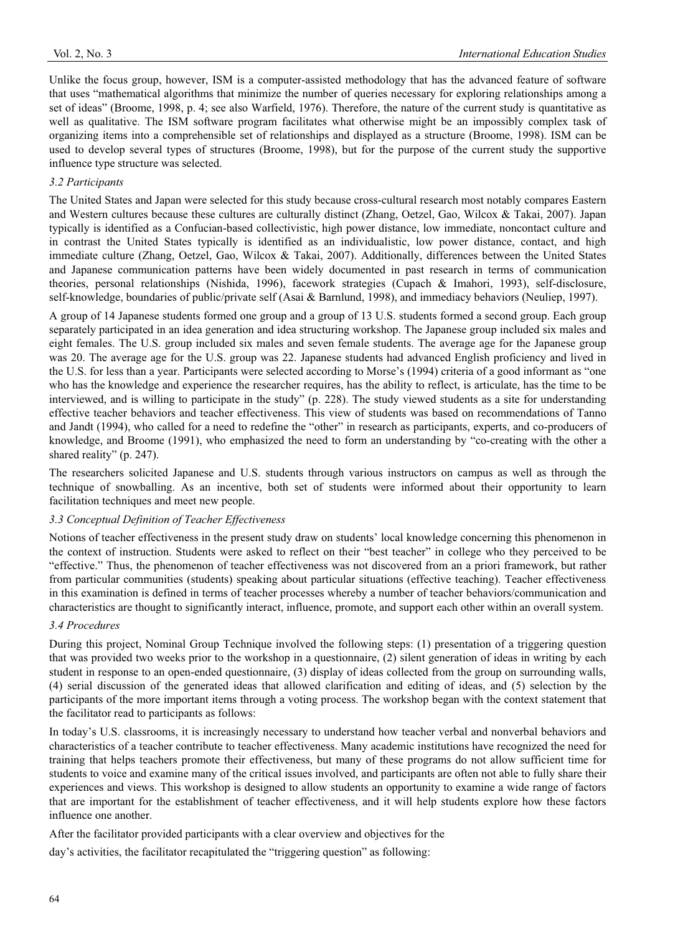Unlike the focus group, however, ISM is a computer-assisted methodology that has the advanced feature of software that uses "mathematical algorithms that minimize the number of queries necessary for exploring relationships among a set of ideas" (Broome, 1998, p. 4; see also Warfield, 1976). Therefore, the nature of the current study is quantitative as well as qualitative. The ISM software program facilitates what otherwise might be an impossibly complex task of organizing items into a comprehensible set of relationships and displayed as a structure (Broome, 1998). ISM can be used to develop several types of structures (Broome, 1998), but for the purpose of the current study the supportive influence type structure was selected.

# *3.2 Participants*

The United States and Japan were selected for this study because cross-cultural research most notably compares Eastern and Western cultures because these cultures are culturally distinct (Zhang, Oetzel, Gao, Wilcox & Takai, 2007). Japan typically is identified as a Confucian-based collectivistic, high power distance, low immediate, noncontact culture and in contrast the United States typically is identified as an individualistic, low power distance, contact, and high immediate culture (Zhang, Oetzel, Gao, Wilcox & Takai, 2007). Additionally, differences between the United States and Japanese communication patterns have been widely documented in past research in terms of communication theories, personal relationships (Nishida, 1996), facework strategies (Cupach & Imahori, 1993), self-disclosure, self-knowledge, boundaries of public/private self (Asai & Barnlund, 1998), and immediacy behaviors (Neuliep, 1997).

A group of 14 Japanese students formed one group and a group of 13 U.S. students formed a second group. Each group separately participated in an idea generation and idea structuring workshop. The Japanese group included six males and eight females. The U.S. group included six males and seven female students. The average age for the Japanese group was 20. The average age for the U.S. group was 22. Japanese students had advanced English proficiency and lived in the U.S. for less than a year. Participants were selected according to Morse's (1994) criteria of a good informant as "one who has the knowledge and experience the researcher requires, has the ability to reflect, is articulate, has the time to be interviewed, and is willing to participate in the study" (p. 228). The study viewed students as a site for understanding effective teacher behaviors and teacher effectiveness. This view of students was based on recommendations of Tanno and Jandt (1994), who called for a need to redefine the "other" in research as participants, experts, and co-producers of knowledge, and Broome (1991), who emphasized the need to form an understanding by "co-creating with the other a shared reality" (p. 247).

The researchers solicited Japanese and U.S. students through various instructors on campus as well as through the technique of snowballing. As an incentive, both set of students were informed about their opportunity to learn facilitation techniques and meet new people.

# *3.3 Conceptual Definition of Teacher Effectiveness*

Notions of teacher effectiveness in the present study draw on students' local knowledge concerning this phenomenon in the context of instruction. Students were asked to reflect on their "best teacher" in college who they perceived to be "effective." Thus, the phenomenon of teacher effectiveness was not discovered from an a priori framework, but rather from particular communities (students) speaking about particular situations (effective teaching). Teacher effectiveness in this examination is defined in terms of teacher processes whereby a number of teacher behaviors/communication and characteristics are thought to significantly interact, influence, promote, and support each other within an overall system.

# *3.4 Procedures*

During this project, Nominal Group Technique involved the following steps: (1) presentation of a triggering question that was provided two weeks prior to the workshop in a questionnaire, (2) silent generation of ideas in writing by each student in response to an open-ended questionnaire, (3) display of ideas collected from the group on surrounding walls, (4) serial discussion of the generated ideas that allowed clarification and editing of ideas, and (5) selection by the participants of the more important items through a voting process. The workshop began with the context statement that the facilitator read to participants as follows:

In today's U.S. classrooms, it is increasingly necessary to understand how teacher verbal and nonverbal behaviors and characteristics of a teacher contribute to teacher effectiveness. Many academic institutions have recognized the need for training that helps teachers promote their effectiveness, but many of these programs do not allow sufficient time for students to voice and examine many of the critical issues involved, and participants are often not able to fully share their experiences and views. This workshop is designed to allow students an opportunity to examine a wide range of factors that are important for the establishment of teacher effectiveness, and it will help students explore how these factors influence one another.

After the facilitator provided participants with a clear overview and objectives for the

day's activities, the facilitator recapitulated the "triggering question" as following: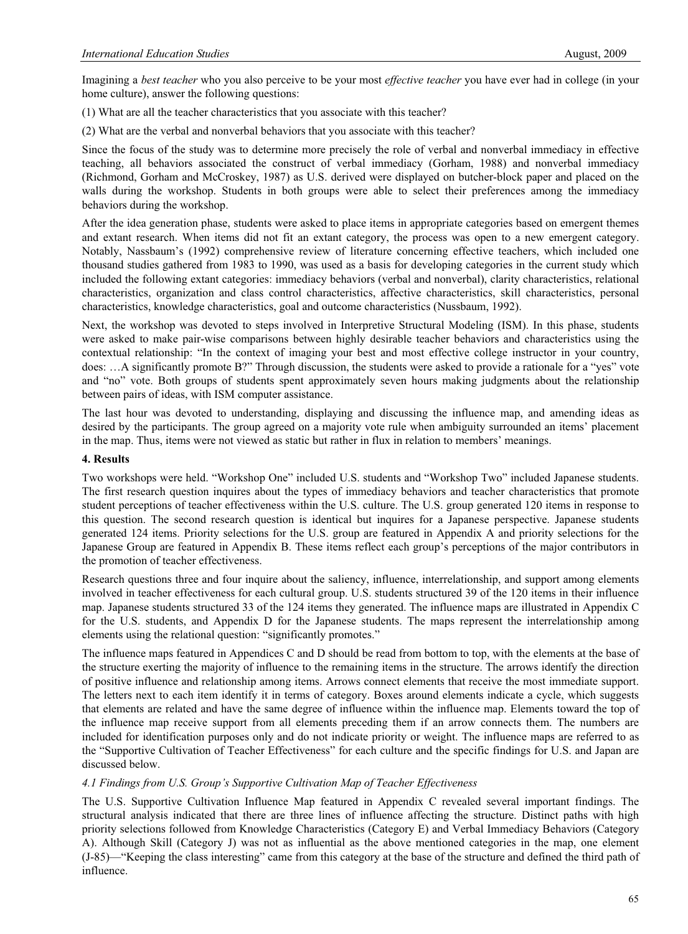Imagining a *best teacher* who you also perceive to be your most *effective teacher* you have ever had in college (in your home culture), answer the following questions:

- (1) What are all the teacher characteristics that you associate with this teacher?
- (2) What are the verbal and nonverbal behaviors that you associate with this teacher?

Since the focus of the study was to determine more precisely the role of verbal and nonverbal immediacy in effective teaching, all behaviors associated the construct of verbal immediacy (Gorham, 1988) and nonverbal immediacy (Richmond, Gorham and McCroskey, 1987) as U.S. derived were displayed on butcher-block paper and placed on the walls during the workshop. Students in both groups were able to select their preferences among the immediacy behaviors during the workshop.

After the idea generation phase, students were asked to place items in appropriate categories based on emergent themes and extant research. When items did not fit an extant category, the process was open to a new emergent category. Notably, Nassbaum's (1992) comprehensive review of literature concerning effective teachers, which included one thousand studies gathered from 1983 to 1990, was used as a basis for developing categories in the current study which included the following extant categories: immediacy behaviors (verbal and nonverbal), clarity characteristics, relational characteristics, organization and class control characteristics, affective characteristics, skill characteristics, personal characteristics, knowledge characteristics, goal and outcome characteristics (Nussbaum, 1992).

Next, the workshop was devoted to steps involved in Interpretive Structural Modeling (ISM). In this phase, students were asked to make pair-wise comparisons between highly desirable teacher behaviors and characteristics using the contextual relationship: "In the context of imaging your best and most effective college instructor in your country, does: …A significantly promote B?" Through discussion, the students were asked to provide a rationale for a "yes" vote and "no" vote. Both groups of students spent approximately seven hours making judgments about the relationship between pairs of ideas, with ISM computer assistance.

The last hour was devoted to understanding, displaying and discussing the influence map, and amending ideas as desired by the participants. The group agreed on a majority vote rule when ambiguity surrounded an items' placement in the map. Thus, items were not viewed as static but rather in flux in relation to members' meanings.

### **4. Results**

Two workshops were held. "Workshop One" included U.S. students and "Workshop Two" included Japanese students. The first research question inquires about the types of immediacy behaviors and teacher characteristics that promote student perceptions of teacher effectiveness within the U.S. culture. The U.S. group generated 120 items in response to this question. The second research question is identical but inquires for a Japanese perspective. Japanese students generated 124 items. Priority selections for the U.S. group are featured in Appendix A and priority selections for the Japanese Group are featured in Appendix B. These items reflect each group's perceptions of the major contributors in the promotion of teacher effectiveness.

Research questions three and four inquire about the saliency, influence, interrelationship, and support among elements involved in teacher effectiveness for each cultural group. U.S. students structured 39 of the 120 items in their influence map. Japanese students structured 33 of the 124 items they generated. The influence maps are illustrated in Appendix C for the U.S. students, and Appendix D for the Japanese students. The maps represent the interrelationship among elements using the relational question: "significantly promotes."

The influence maps featured in Appendices C and D should be read from bottom to top, with the elements at the base of the structure exerting the majority of influence to the remaining items in the structure. The arrows identify the direction of positive influence and relationship among items. Arrows connect elements that receive the most immediate support. The letters next to each item identify it in terms of category. Boxes around elements indicate a cycle, which suggests that elements are related and have the same degree of influence within the influence map. Elements toward the top of the influence map receive support from all elements preceding them if an arrow connects them. The numbers are included for identification purposes only and do not indicate priority or weight. The influence maps are referred to as the "Supportive Cultivation of Teacher Effectiveness" for each culture and the specific findings for U.S. and Japan are discussed below.

# *4.1 Findings from U.S. Group's Supportive Cultivation Map of Teacher Effectiveness*

The U.S. Supportive Cultivation Influence Map featured in Appendix C revealed several important findings. The structural analysis indicated that there are three lines of influence affecting the structure. Distinct paths with high priority selections followed from Knowledge Characteristics (Category E) and Verbal Immediacy Behaviors (Category A). Although Skill (Category J) was not as influential as the above mentioned categories in the map, one element (J-85)—"Keeping the class interesting" came from this category at the base of the structure and defined the third path of influence.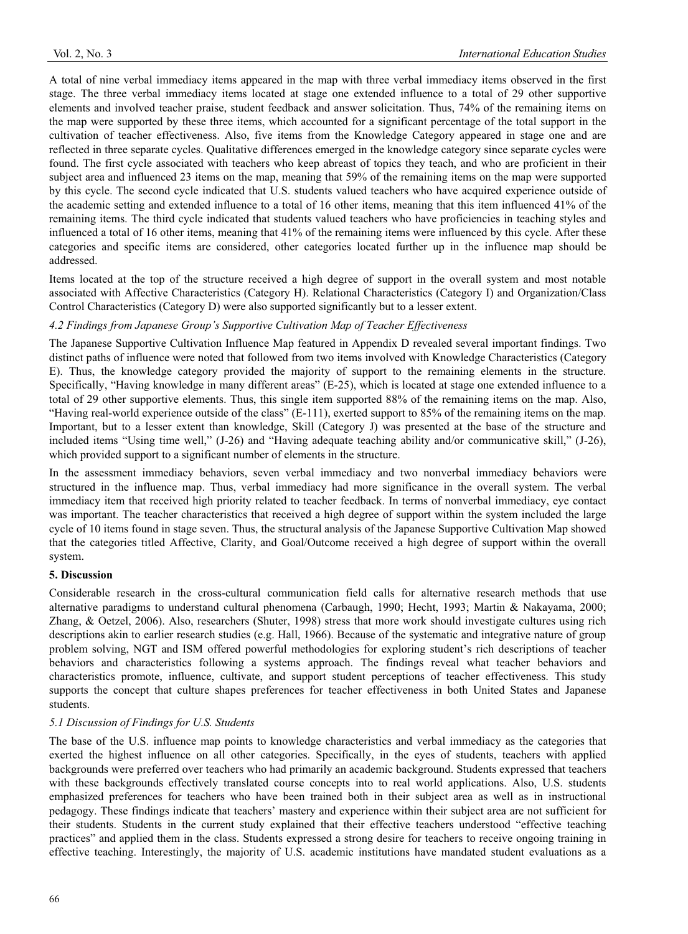A total of nine verbal immediacy items appeared in the map with three verbal immediacy items observed in the first stage. The three verbal immediacy items located at stage one extended influence to a total of 29 other supportive elements and involved teacher praise, student feedback and answer solicitation. Thus, 74% of the remaining items on the map were supported by these three items, which accounted for a significant percentage of the total support in the cultivation of teacher effectiveness. Also, five items from the Knowledge Category appeared in stage one and are reflected in three separate cycles. Qualitative differences emerged in the knowledge category since separate cycles were found. The first cycle associated with teachers who keep abreast of topics they teach, and who are proficient in their subject area and influenced 23 items on the map, meaning that 59% of the remaining items on the map were supported by this cycle. The second cycle indicated that U.S. students valued teachers who have acquired experience outside of the academic setting and extended influence to a total of 16 other items, meaning that this item influenced 41% of the remaining items. The third cycle indicated that students valued teachers who have proficiencies in teaching styles and influenced a total of 16 other items, meaning that 41% of the remaining items were influenced by this cycle. After these categories and specific items are considered, other categories located further up in the influence map should be addressed.

Items located at the top of the structure received a high degree of support in the overall system and most notable associated with Affective Characteristics (Category H). Relational Characteristics (Category I) and Organization/Class Control Characteristics (Category D) were also supported significantly but to a lesser extent.

# *4.2 Findings from Japanese Group's Supportive Cultivation Map of Teacher Effectiveness*

The Japanese Supportive Cultivation Influence Map featured in Appendix D revealed several important findings. Two distinct paths of influence were noted that followed from two items involved with Knowledge Characteristics (Category E). Thus, the knowledge category provided the majority of support to the remaining elements in the structure. Specifically, "Having knowledge in many different areas" (E-25), which is located at stage one extended influence to a total of 29 other supportive elements. Thus, this single item supported 88% of the remaining items on the map. Also, "Having real-world experience outside of the class" (E-111), exerted support to 85% of the remaining items on the map. Important, but to a lesser extent than knowledge, Skill (Category J) was presented at the base of the structure and included items "Using time well," (J-26) and "Having adequate teaching ability and/or communicative skill," (J-26), which provided support to a significant number of elements in the structure.

In the assessment immediacy behaviors, seven verbal immediacy and two nonverbal immediacy behaviors were structured in the influence map. Thus, verbal immediacy had more significance in the overall system. The verbal immediacy item that received high priority related to teacher feedback. In terms of nonverbal immediacy, eye contact was important. The teacher characteristics that received a high degree of support within the system included the large cycle of 10 items found in stage seven. Thus, the structural analysis of the Japanese Supportive Cultivation Map showed that the categories titled Affective, Clarity, and Goal/Outcome received a high degree of support within the overall system.

# **5. Discussion**

Considerable research in the cross-cultural communication field calls for alternative research methods that use alternative paradigms to understand cultural phenomena (Carbaugh, 1990; Hecht, 1993; Martin & Nakayama, 2000; Zhang, & Oetzel, 2006). Also, researchers (Shuter, 1998) stress that more work should investigate cultures using rich descriptions akin to earlier research studies (e.g. Hall, 1966). Because of the systematic and integrative nature of group problem solving, NGT and ISM offered powerful methodologies for exploring student's rich descriptions of teacher behaviors and characteristics following a systems approach. The findings reveal what teacher behaviors and characteristics promote, influence, cultivate, and support student perceptions of teacher effectiveness. This study supports the concept that culture shapes preferences for teacher effectiveness in both United States and Japanese students.

# *5.1 Discussion of Findings for U.S. Students*

The base of the U.S. influence map points to knowledge characteristics and verbal immediacy as the categories that exerted the highest influence on all other categories. Specifically, in the eyes of students, teachers with applied backgrounds were preferred over teachers who had primarily an academic background. Students expressed that teachers with these backgrounds effectively translated course concepts into to real world applications. Also, U.S. students emphasized preferences for teachers who have been trained both in their subject area as well as in instructional pedagogy. These findings indicate that teachers' mastery and experience within their subject area are not sufficient for their students. Students in the current study explained that their effective teachers understood "effective teaching practices" and applied them in the class. Students expressed a strong desire for teachers to receive ongoing training in effective teaching. Interestingly, the majority of U.S. academic institutions have mandated student evaluations as a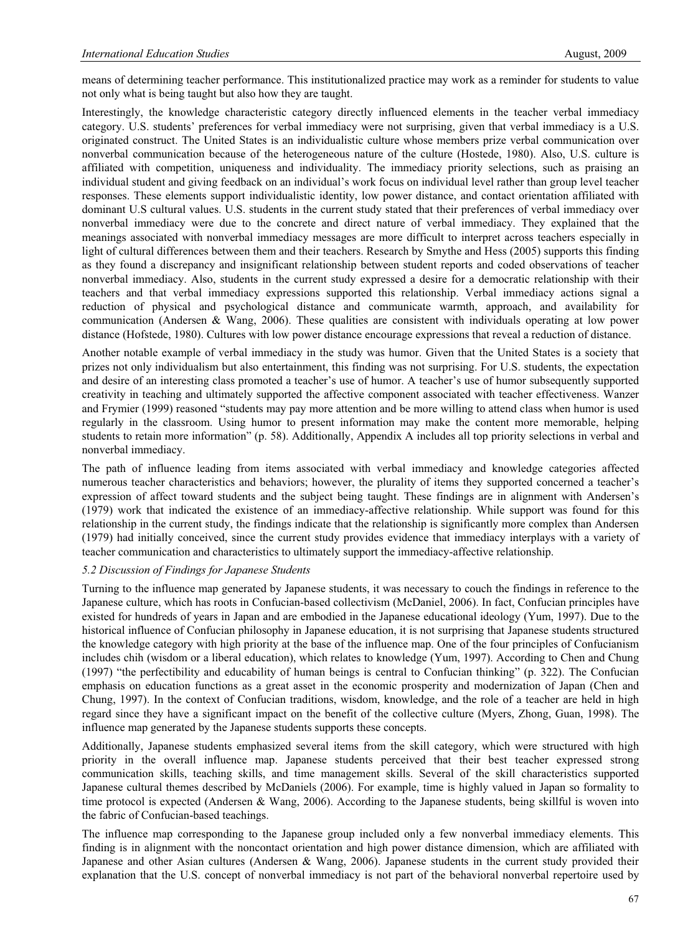means of determining teacher performance. This institutionalized practice may work as a reminder for students to value not only what is being taught but also how they are taught.

Interestingly, the knowledge characteristic category directly influenced elements in the teacher verbal immediacy category. U.S. students' preferences for verbal immediacy were not surprising, given that verbal immediacy is a U.S. originated construct. The United States is an individualistic culture whose members prize verbal communication over nonverbal communication because of the heterogeneous nature of the culture (Hostede, 1980). Also, U.S. culture is affiliated with competition, uniqueness and individuality. The immediacy priority selections, such as praising an individual student and giving feedback on an individual's work focus on individual level rather than group level teacher responses. These elements support individualistic identity, low power distance, and contact orientation affiliated with dominant U.S cultural values. U.S. students in the current study stated that their preferences of verbal immediacy over nonverbal immediacy were due to the concrete and direct nature of verbal immediacy. They explained that the meanings associated with nonverbal immediacy messages are more difficult to interpret across teachers especially in light of cultural differences between them and their teachers. Research by Smythe and Hess (2005) supports this finding as they found a discrepancy and insignificant relationship between student reports and coded observations of teacher nonverbal immediacy. Also, students in the current study expressed a desire for a democratic relationship with their teachers and that verbal immediacy expressions supported this relationship. Verbal immediacy actions signal a reduction of physical and psychological distance and communicate warmth, approach, and availability for communication (Andersen & Wang, 2006). These qualities are consistent with individuals operating at low power distance (Hofstede, 1980). Cultures with low power distance encourage expressions that reveal a reduction of distance.

Another notable example of verbal immediacy in the study was humor. Given that the United States is a society that prizes not only individualism but also entertainment, this finding was not surprising. For U.S. students, the expectation and desire of an interesting class promoted a teacher's use of humor. A teacher's use of humor subsequently supported creativity in teaching and ultimately supported the affective component associated with teacher effectiveness. Wanzer and Frymier (1999) reasoned "students may pay more attention and be more willing to attend class when humor is used regularly in the classroom. Using humor to present information may make the content more memorable, helping students to retain more information" (p. 58). Additionally, Appendix A includes all top priority selections in verbal and nonverbal immediacy.

The path of influence leading from items associated with verbal immediacy and knowledge categories affected numerous teacher characteristics and behaviors; however, the plurality of items they supported concerned a teacher's expression of affect toward students and the subject being taught. These findings are in alignment with Andersen's (1979) work that indicated the existence of an immediacy-affective relationship. While support was found for this relationship in the current study, the findings indicate that the relationship is significantly more complex than Andersen (1979) had initially conceived, since the current study provides evidence that immediacy interplays with a variety of teacher communication and characteristics to ultimately support the immediacy-affective relationship.

#### *5.2 Discussion of Findings for Japanese Students*

Turning to the influence map generated by Japanese students, it was necessary to couch the findings in reference to the Japanese culture, which has roots in Confucian-based collectivism (McDaniel, 2006). In fact, Confucian principles have existed for hundreds of years in Japan and are embodied in the Japanese educational ideology (Yum, 1997). Due to the historical influence of Confucian philosophy in Japanese education, it is not surprising that Japanese students structured the knowledge category with high priority at the base of the influence map. One of the four principles of Confucianism includes chih (wisdom or a liberal education), which relates to knowledge (Yum, 1997). According to Chen and Chung (1997) "the perfectibility and educability of human beings is central to Confucian thinking" (p. 322). The Confucian emphasis on education functions as a great asset in the economic prosperity and modernization of Japan (Chen and Chung, 1997). In the context of Confucian traditions, wisdom, knowledge, and the role of a teacher are held in high regard since they have a significant impact on the benefit of the collective culture (Myers, Zhong, Guan, 1998). The influence map generated by the Japanese students supports these concepts.

Additionally, Japanese students emphasized several items from the skill category, which were structured with high priority in the overall influence map. Japanese students perceived that their best teacher expressed strong communication skills, teaching skills, and time management skills. Several of the skill characteristics supported Japanese cultural themes described by McDaniels (2006). For example, time is highly valued in Japan so formality to time protocol is expected (Andersen & Wang, 2006). According to the Japanese students, being skillful is woven into the fabric of Confucian-based teachings.

The influence map corresponding to the Japanese group included only a few nonverbal immediacy elements. This finding is in alignment with the noncontact orientation and high power distance dimension, which are affiliated with Japanese and other Asian cultures (Andersen & Wang, 2006). Japanese students in the current study provided their explanation that the U.S. concept of nonverbal immediacy is not part of the behavioral nonverbal repertoire used by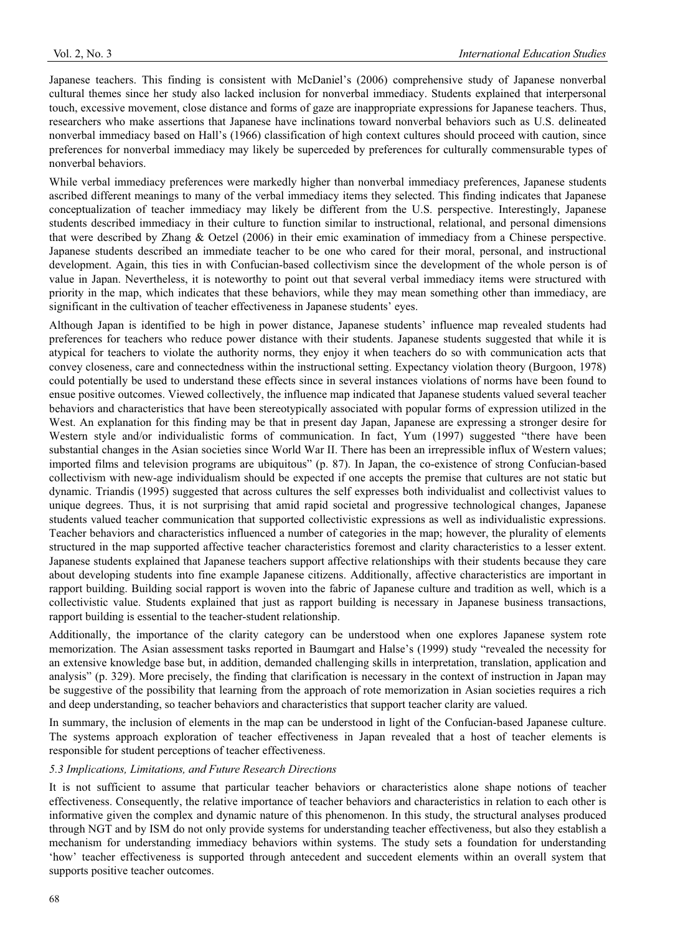Japanese teachers. This finding is consistent with McDaniel's (2006) comprehensive study of Japanese nonverbal cultural themes since her study also lacked inclusion for nonverbal immediacy. Students explained that interpersonal touch, excessive movement, close distance and forms of gaze are inappropriate expressions for Japanese teachers. Thus, researchers who make assertions that Japanese have inclinations toward nonverbal behaviors such as U.S. delineated nonverbal immediacy based on Hall's (1966) classification of high context cultures should proceed with caution, since preferences for nonverbal immediacy may likely be superceded by preferences for culturally commensurable types of nonverbal behaviors.

While verbal immediacy preferences were markedly higher than nonverbal immediacy preferences, Japanese students ascribed different meanings to many of the verbal immediacy items they selected. This finding indicates that Japanese conceptualization of teacher immediacy may likely be different from the U.S. perspective. Interestingly, Japanese students described immediacy in their culture to function similar to instructional, relational, and personal dimensions that were described by Zhang & Oetzel (2006) in their emic examination of immediacy from a Chinese perspective. Japanese students described an immediate teacher to be one who cared for their moral, personal, and instructional development. Again, this ties in with Confucian-based collectivism since the development of the whole person is of value in Japan. Nevertheless, it is noteworthy to point out that several verbal immediacy items were structured with priority in the map, which indicates that these behaviors, while they may mean something other than immediacy, are significant in the cultivation of teacher effectiveness in Japanese students' eyes.

Although Japan is identified to be high in power distance, Japanese students' influence map revealed students had preferences for teachers who reduce power distance with their students. Japanese students suggested that while it is atypical for teachers to violate the authority norms, they enjoy it when teachers do so with communication acts that convey closeness, care and connectedness within the instructional setting. Expectancy violation theory (Burgoon, 1978) could potentially be used to understand these effects since in several instances violations of norms have been found to ensue positive outcomes. Viewed collectively, the influence map indicated that Japanese students valued several teacher behaviors and characteristics that have been stereotypically associated with popular forms of expression utilized in the West. An explanation for this finding may be that in present day Japan, Japanese are expressing a stronger desire for Western style and/or individualistic forms of communication. In fact, Yum (1997) suggested "there have been substantial changes in the Asian societies since World War II. There has been an irrepressible influx of Western values; imported films and television programs are ubiquitous" (p. 87). In Japan, the co-existence of strong Confucian-based collectivism with new-age individualism should be expected if one accepts the premise that cultures are not static but dynamic. Triandis (1995) suggested that across cultures the self expresses both individualist and collectivist values to unique degrees. Thus, it is not surprising that amid rapid societal and progressive technological changes, Japanese students valued teacher communication that supported collectivistic expressions as well as individualistic expressions. Teacher behaviors and characteristics influenced a number of categories in the map; however, the plurality of elements structured in the map supported affective teacher characteristics foremost and clarity characteristics to a lesser extent. Japanese students explained that Japanese teachers support affective relationships with their students because they care about developing students into fine example Japanese citizens. Additionally, affective characteristics are important in rapport building. Building social rapport is woven into the fabric of Japanese culture and tradition as well, which is a collectivistic value. Students explained that just as rapport building is necessary in Japanese business transactions, rapport building is essential to the teacher-student relationship.

Additionally, the importance of the clarity category can be understood when one explores Japanese system rote memorization. The Asian assessment tasks reported in Baumgart and Halse's (1999) study "revealed the necessity for an extensive knowledge base but, in addition, demanded challenging skills in interpretation, translation, application and analysis" (p. 329). More precisely, the finding that clarification is necessary in the context of instruction in Japan may be suggestive of the possibility that learning from the approach of rote memorization in Asian societies requires a rich and deep understanding, so teacher behaviors and characteristics that support teacher clarity are valued.

In summary, the inclusion of elements in the map can be understood in light of the Confucian-based Japanese culture. The systems approach exploration of teacher effectiveness in Japan revealed that a host of teacher elements is responsible for student perceptions of teacher effectiveness.

#### *5.3 Implications, Limitations, and Future Research Directions*

It is not sufficient to assume that particular teacher behaviors or characteristics alone shape notions of teacher effectiveness. Consequently, the relative importance of teacher behaviors and characteristics in relation to each other is informative given the complex and dynamic nature of this phenomenon. In this study, the structural analyses produced through NGT and by ISM do not only provide systems for understanding teacher effectiveness, but also they establish a mechanism for understanding immediacy behaviors within systems. The study sets a foundation for understanding 'how' teacher effectiveness is supported through antecedent and succedent elements within an overall system that supports positive teacher outcomes.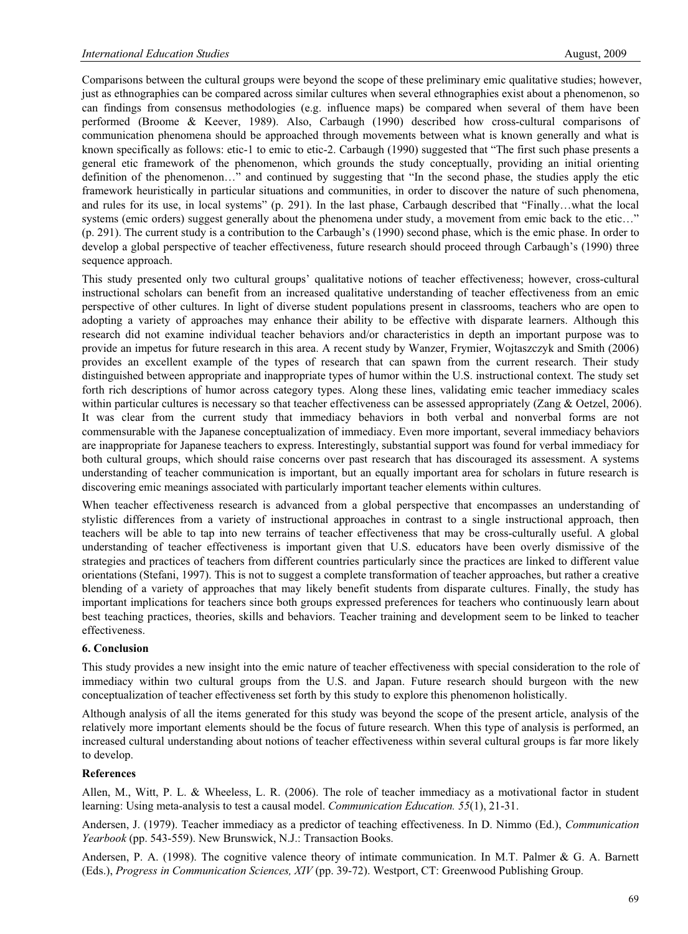Comparisons between the cultural groups were beyond the scope of these preliminary emic qualitative studies; however, just as ethnographies can be compared across similar cultures when several ethnographies exist about a phenomenon, so can findings from consensus methodologies (e.g. influence maps) be compared when several of them have been performed (Broome & Keever, 1989). Also, Carbaugh (1990) described how cross-cultural comparisons of communication phenomena should be approached through movements between what is known generally and what is known specifically as follows: etic-1 to emic to etic-2. Carbaugh (1990) suggested that "The first such phase presents a general etic framework of the phenomenon, which grounds the study conceptually, providing an initial orienting definition of the phenomenon…" and continued by suggesting that "In the second phase, the studies apply the etic framework heuristically in particular situations and communities, in order to discover the nature of such phenomena, and rules for its use, in local systems" (p. 291). In the last phase, Carbaugh described that "Finally…what the local systems (emic orders) suggest generally about the phenomena under study, a movement from emic back to the etic..." (p. 291). The current study is a contribution to the Carbaugh's (1990) second phase, which is the emic phase. In order to develop a global perspective of teacher effectiveness, future research should proceed through Carbaugh's (1990) three sequence approach.

This study presented only two cultural groups' qualitative notions of teacher effectiveness; however, cross-cultural instructional scholars can benefit from an increased qualitative understanding of teacher effectiveness from an emic perspective of other cultures. In light of diverse student populations present in classrooms, teachers who are open to adopting a variety of approaches may enhance their ability to be effective with disparate learners. Although this research did not examine individual teacher behaviors and/or characteristics in depth an important purpose was to provide an impetus for future research in this area. A recent study by Wanzer, Frymier, Wojtaszczyk and Smith (2006) provides an excellent example of the types of research that can spawn from the current research. Their study distinguished between appropriate and inappropriate types of humor within the U.S. instructional context. The study set forth rich descriptions of humor across category types. Along these lines, validating emic teacher immediacy scales within particular cultures is necessary so that teacher effectiveness can be assessed appropriately (Zang & Oetzel, 2006). It was clear from the current study that immediacy behaviors in both verbal and nonverbal forms are not commensurable with the Japanese conceptualization of immediacy. Even more important, several immediacy behaviors are inappropriate for Japanese teachers to express. Interestingly, substantial support was found for verbal immediacy for both cultural groups, which should raise concerns over past research that has discouraged its assessment. A systems understanding of teacher communication is important, but an equally important area for scholars in future research is discovering emic meanings associated with particularly important teacher elements within cultures.

When teacher effectiveness research is advanced from a global perspective that encompasses an understanding of stylistic differences from a variety of instructional approaches in contrast to a single instructional approach, then teachers will be able to tap into new terrains of teacher effectiveness that may be cross-culturally useful. A global understanding of teacher effectiveness is important given that U.S. educators have been overly dismissive of the strategies and practices of teachers from different countries particularly since the practices are linked to different value orientations (Stefani, 1997). This is not to suggest a complete transformation of teacher approaches, but rather a creative blending of a variety of approaches that may likely benefit students from disparate cultures. Finally, the study has important implications for teachers since both groups expressed preferences for teachers who continuously learn about best teaching practices, theories, skills and behaviors. Teacher training and development seem to be linked to teacher effectiveness.

#### **6. Conclusion**

This study provides a new insight into the emic nature of teacher effectiveness with special consideration to the role of immediacy within two cultural groups from the U.S. and Japan. Future research should burgeon with the new conceptualization of teacher effectiveness set forth by this study to explore this phenomenon holistically.

Although analysis of all the items generated for this study was beyond the scope of the present article, analysis of the relatively more important elements should be the focus of future research. When this type of analysis is performed, an increased cultural understanding about notions of teacher effectiveness within several cultural groups is far more likely to develop.

#### **References**

Allen, M., Witt, P. L. & Wheeless, L. R. (2006). The role of teacher immediacy as a motivational factor in student learning: Using meta-analysis to test a causal model. *Communication Education. 55*(1), 21-31.

Andersen, J. (1979). Teacher immediacy as a predictor of teaching effectiveness. In D. Nimmo (Ed.), *Communication Yearbook* (pp. 543-559). New Brunswick, N.J.: Transaction Books.

Andersen, P. A. (1998). The cognitive valence theory of intimate communication. In M.T. Palmer & G. A. Barnett (Eds.), *Progress in Communication Sciences, XIV* (pp. 39-72). Westport, CT: Greenwood Publishing Group.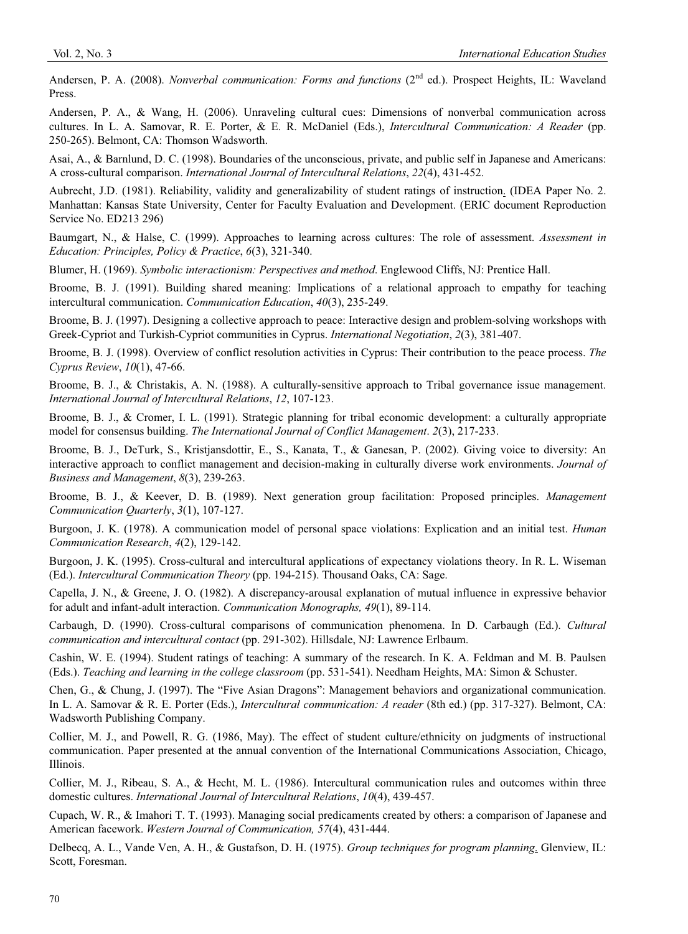Andersen, P. A. (2008). *Nonverbal communication: Forms and functions* (2nd ed.). Prospect Heights, IL: Waveland Press.

Andersen, P. A., & Wang, H. (2006). Unraveling cultural cues: Dimensions of nonverbal communication across cultures. In L. A. Samovar, R. E. Porter, & E. R. McDaniel (Eds.), *Intercultural Communication: A Reader* (pp. 250-265). Belmont, CA: Thomson Wadsworth.

Asai, A., & Barnlund, D. C. (1998). Boundaries of the unconscious, private, and public self in Japanese and Americans: A cross-cultural comparison. *International Journal of Intercultural Relations*, *22*(4), 431-452.

Aubrecht, J.D. (1981). Reliability, validity and generalizability of student ratings of instruction. (IDEA Paper No. 2. Manhattan: Kansas State University, Center for Faculty Evaluation and Development. (ERIC document Reproduction Service No. ED213 296)

Baumgart, N., & Halse, C. (1999). Approaches to learning across cultures: The role of assessment. *Assessment in Education: Principles, Policy & Practice*, *6*(3), 321-340.

Blumer, H. (1969). *Symbolic interactionism: Perspectives and method*. Englewood Cliffs, NJ: Prentice Hall.

Broome, B. J. (1991). Building shared meaning: Implications of a relational approach to empathy for teaching intercultural communication. *Communication Education*, *40*(3), 235-249.

Broome, B. J. (1997). Designing a collective approach to peace: Interactive design and problem-solving workshops with Greek-Cypriot and Turkish-Cypriot communities in Cyprus. *International Negotiation*, *2*(3), 381-407.

Broome, B. J. (1998). Overview of conflict resolution activities in Cyprus: Their contribution to the peace process. *The Cyprus Review*, *10*(1), 47-66.

Broome, B. J., & Christakis, A. N. (1988). A culturally-sensitive approach to Tribal governance issue management. *International Journal of Intercultural Relations*, *12*, 107-123.

Broome, B. J., & Cromer, I. L. (1991). Strategic planning for tribal economic development: a culturally appropriate model for consensus building. *The International Journal of Conflict Management*. *2*(3), 217-233.

Broome, B. J., DeTurk, S., Kristjansdottir, E., S., Kanata, T., & Ganesan, P. (2002). Giving voice to diversity: An interactive approach to conflict management and decision-making in culturally diverse work environments. *Journal of Business and Management*, *8*(3), 239-263.

Broome, B. J., & Keever, D. B. (1989). Next generation group facilitation: Proposed principles. *Management Communication Quarterly*, *3*(1), 107-127.

Burgoon, J. K. (1978). A communication model of personal space violations: Explication and an initial test. *Human Communication Research*, *4*(2), 129-142.

Burgoon, J. K. (1995). Cross-cultural and intercultural applications of expectancy violations theory. In R. L. Wiseman (Ed.). *Intercultural Communication Theory* (pp. 194-215). Thousand Oaks, CA: Sage.

Capella, J. N., & Greene, J. O. (1982). A discrepancy-arousal explanation of mutual influence in expressive behavior for adult and infant-adult interaction. *Communication Monographs, 49*(1), 89-114.

Carbaugh, D. (1990). Cross-cultural comparisons of communication phenomena. In D. Carbaugh (Ed.). *Cultural communication and intercultural contact* (pp. 291-302). Hillsdale, NJ: Lawrence Erlbaum.

Cashin, W. E. (1994). Student ratings of teaching: A summary of the research. In K. A. Feldman and M. B. Paulsen (Eds.). *Teaching and learning in the college classroom* (pp. 531-541). Needham Heights, MA: Simon & Schuster.

Chen, G., & Chung, J. (1997). The "Five Asian Dragons": Management behaviors and organizational communication. In L. A. Samovar & R. E. Porter (Eds.), *Intercultural communication: A reader* (8th ed.) (pp. 317-327). Belmont, CA: Wadsworth Publishing Company.

Collier, M. J., and Powell, R. G. (1986, May). The effect of student culture/ethnicity on judgments of instructional communication. Paper presented at the annual convention of the International Communications Association, Chicago, Illinois.

Collier, M. J., Ribeau, S. A., & Hecht, M. L. (1986). Intercultural communication rules and outcomes within three domestic cultures. *International Journal of Intercultural Relations*, *10*(4), 439-457.

Cupach, W. R., & Imahori T. T. (1993). Managing social predicaments created by others: a comparison of Japanese and American facework. *Western Journal of Communication, 57*(4), 431-444.

Delbecq, A. L., Vande Ven, A. H., & Gustafson, D. H. (1975). *Group techniques for program planning*. Glenview, IL: Scott, Foresman.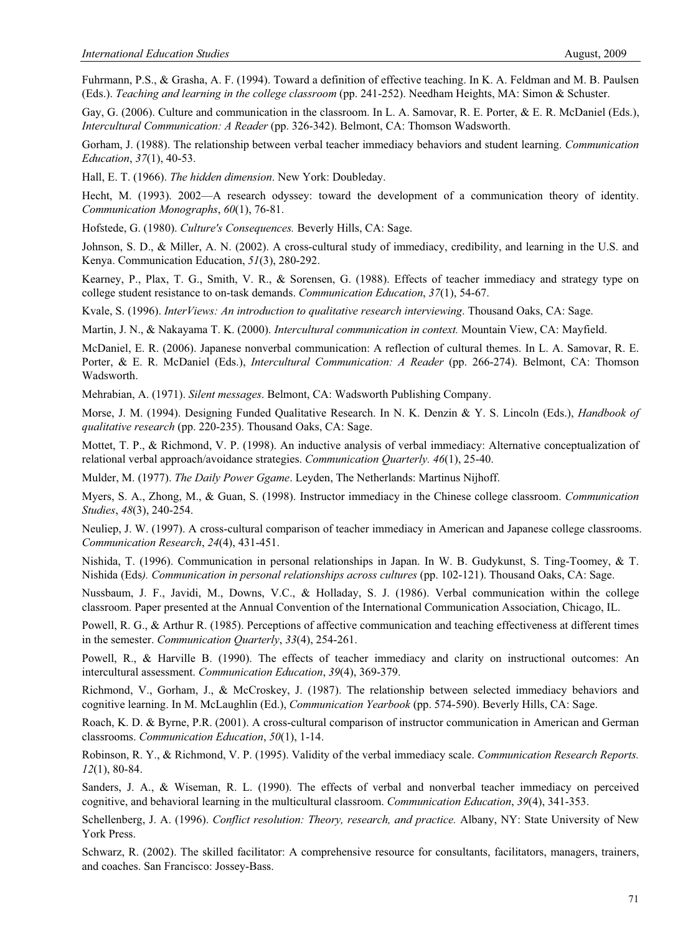Fuhrmann, P.S., & Grasha, A. F. (1994). Toward a definition of effective teaching. In K. A. Feldman and M. B. Paulsen (Eds.). *Teaching and learning in the college classroom* (pp. 241-252). Needham Heights, MA: Simon & Schuster.

Gay, G. (2006). Culture and communication in the classroom. In L. A. Samovar, R. E. Porter, & E. R. McDaniel (Eds.), *Intercultural Communication: A Reader* (pp. 326-342). Belmont, CA: Thomson Wadsworth.

Gorham, J. (1988). The relationship between verbal teacher immediacy behaviors and student learning. *Communication Education*, *37*(1), 40-53.

Hall, E. T. (1966). *The hidden dimension*. New York: Doubleday.

Hecht, M. (1993). 2002—A research odyssey: toward the development of a communication theory of identity. *Communication Monographs*, *60*(1), 76-81.

Hofstede, G. (1980). *Culture's Consequences.* Beverly Hills, CA: Sage.

Johnson, S. D., & Miller, A. N. (2002). A cross-cultural study of immediacy, credibility, and learning in the U.S. and Kenya. Communication Education, *51*(3), 280-292.

Kearney, P., Plax, T. G., Smith, V. R., & Sorensen, G. (1988). Effects of teacher immediacy and strategy type on college student resistance to on-task demands. *Communication Education*, *37*(1), 54-67.

Kvale, S. (1996). *InterViews: An introduction to qualitative research interviewing*. Thousand Oaks, CA: Sage.

Martin, J. N., & Nakayama T. K. (2000). *Intercultural communication in context.* Mountain View, CA: Mayfield.

McDaniel, E. R. (2006). Japanese nonverbal communication: A reflection of cultural themes. In L. A. Samovar, R. E. Porter, & E. R. McDaniel (Eds.), *Intercultural Communication: A Reader* (pp. 266-274). Belmont, CA: Thomson Wadsworth.

Mehrabian, A. (1971). *Silent messages*. Belmont, CA: Wadsworth Publishing Company.

Morse, J. M. (1994). Designing Funded Qualitative Research. In N. K. Denzin & Y. S. Lincoln (Eds.), *Handbook of qualitative research* (pp. 220-235). Thousand Oaks, CA: Sage.

Mottet, T. P., & Richmond, V. P. (1998). An inductive analysis of verbal immediacy: Alternative conceptualization of relational verbal approach/avoidance strategies. *Communication Quarterly. 46*(1), 25-40.

Mulder, M. (1977). *The Daily Power Ggame*. Leyden, The Netherlands: Martinus Nijhoff.

Myers, S. A., Zhong, M., & Guan, S. (1998). Instructor immediacy in the Chinese college classroom. *Communication Studies*, *48*(3), 240-254.

Neuliep, J. W. (1997). A cross-cultural comparison of teacher immediacy in American and Japanese college classrooms. *Communication Research*, *24*(4), 431-451.

Nishida, T. (1996). Communication in personal relationships in Japan. In W. B. Gudykunst, S. Ting-Toomey, & T. Nishida (Eds*). Communication in personal relationships across cultures* (pp. 102-121). Thousand Oaks, CA: Sage.

Nussbaum, J. F., Javidi, M., Downs, V.C., & Holladay, S. J. (1986). Verbal communication within the college classroom. Paper presented at the Annual Convention of the International Communication Association, Chicago, IL.

Powell, R. G., & Arthur R. (1985). Perceptions of affective communication and teaching effectiveness at different times in the semester. *Communication Quarterly*, *33*(4), 254-261.

Powell, R., & Harville B. (1990). The effects of teacher immediacy and clarity on instructional outcomes: An intercultural assessment. *Communication Education*, *39*(4), 369-379.

Richmond, V., Gorham, J., & McCroskey, J. (1987). The relationship between selected immediacy behaviors and cognitive learning. In M. McLaughlin (Ed.), *Communication Yearbook* (pp. 574-590). Beverly Hills, CA: Sage.

Roach, K. D. & Byrne, P.R. (2001). A cross-cultural comparison of instructor communication in American and German classrooms. *Communication Education*, *50*(1), 1-14.

Robinson, R. Y., & Richmond, V. P. (1995). Validity of the verbal immediacy scale. *Communication Research Reports. 12*(1), 80-84.

Sanders, J. A., & Wiseman, R. L. (1990). The effects of verbal and nonverbal teacher immediacy on perceived cognitive, and behavioral learning in the multicultural classroom. *Communication Education*, *39*(4), 341-353.

Schellenberg, J. A. (1996). *Conflict resolution: Theory, research, and practice.* Albany, NY: State University of New York Press.

Schwarz, R. (2002). The skilled facilitator: A comprehensive resource for consultants, facilitators, managers, trainers, and coaches. San Francisco: Jossey-Bass.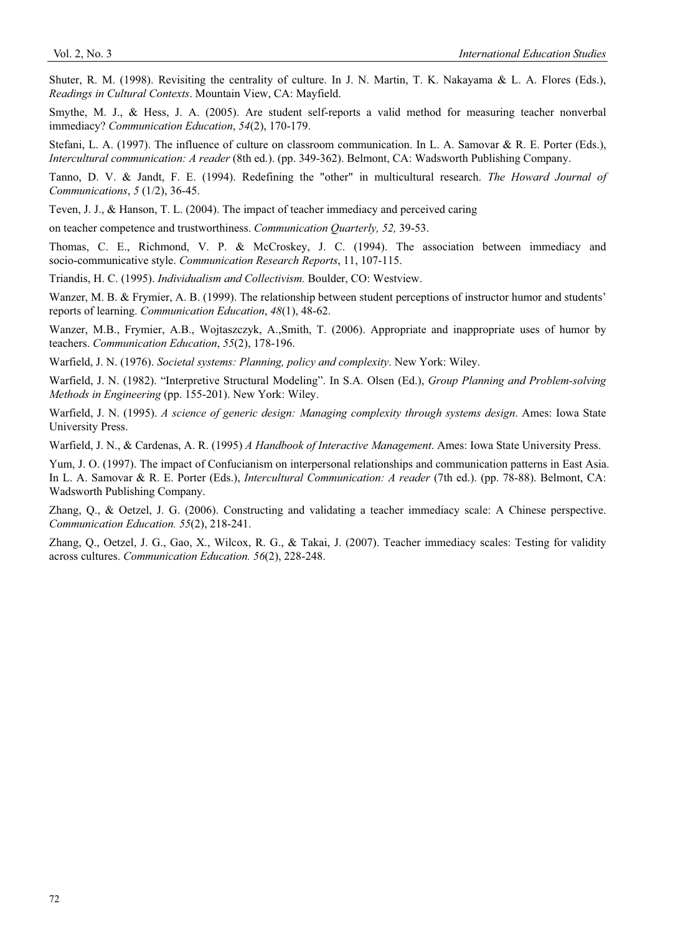Shuter, R. M. (1998). Revisiting the centrality of culture. In J. N. Martin, T. K. Nakayama & L. A. Flores (Eds.), *Readings in Cultural Contexts*. Mountain View, CA: Mayfield.

Smythe, M. J., & Hess, J. A. (2005). Are student self-reports a valid method for measuring teacher nonverbal immediacy? *Communication Education*, *54*(2), 170-179.

Stefani, L. A. (1997). The influence of culture on classroom communication. In L. A. Samovar & R. E. Porter (Eds.), *Intercultural communication: A reader* (8th ed.). (pp. 349-362). Belmont, CA: Wadsworth Publishing Company.

Tanno, D. V. & Jandt, F. E. (1994). Redefining the "other" in multicultural research. *The Howard Journal of Communications*, *5* (1/2), 36-45.

Teven, J. J., & Hanson, T. L. (2004). The impact of teacher immediacy and perceived caring

on teacher competence and trustworthiness. *Communication Quarterly, 52,* 39-53.

Thomas, C. E., Richmond, V. P. & McCroskey, J. C. (1994). The association between immediacy and socio-communicative style. *Communication Research Reports*, 11, 107-115.

Triandis, H. C. (1995). *Individualism and Collectivism.* Boulder, CO: Westview.

Wanzer, M. B. & Frymier, A. B. (1999). The relationship between student perceptions of instructor humor and students' reports of learning. *Communication Education*, *48*(1), 48-62.

Wanzer, M.B., Frymier, A.B., Wojtaszczyk, A.,Smith, T. (2006). Appropriate and inappropriate uses of humor by teachers. *Communication Education*, *55*(2), 178-196.

Warfield, J. N. (1976). *Societal systems: Planning, policy and complexity*. New York: Wiley.

Warfield, J. N. (1982). "Interpretive Structural Modeling". In S.A. Olsen (Ed.), *Group Planning and Problem-solving Methods in Engineering* (pp. 155-201). New York: Wiley.

Warfield, J. N. (1995). *A science of generic design: Managing complexity through systems design*. Ames: Iowa State University Press.

Warfield, J. N., & Cardenas, A. R. (1995) *A Handbook of Interactive Management*. Ames: Iowa State University Press.

Yum, J. O. (1997). The impact of Confucianism on interpersonal relationships and communication patterns in East Asia. In L. A. Samovar & R. E. Porter (Eds.), *Intercultural Communication: A reader* (7th ed.). (pp. 78-88). Belmont, CA: Wadsworth Publishing Company.

Zhang, Q., & Oetzel, J. G. (2006). Constructing and validating a teacher immediacy scale: A Chinese perspective. *Communication Education. 55*(2), 218-241.

Zhang, Q., Oetzel, J. G., Gao, X., Wilcox, R. G., & Takai, J. (2007). Teacher immediacy scales: Testing for validity across cultures. *Communication Education. 56*(2), 228-248.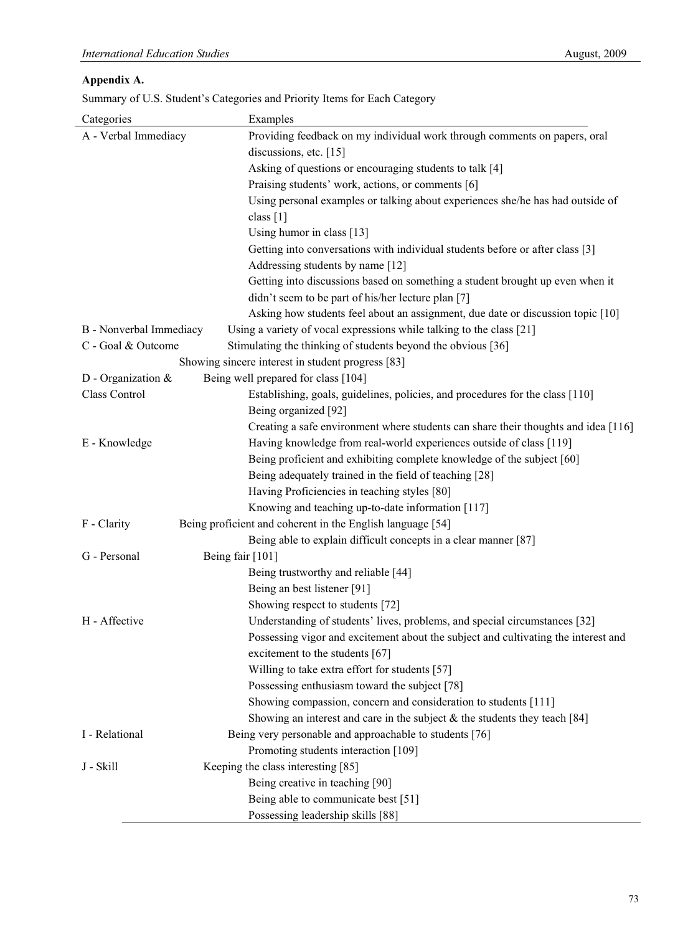# **Appendix A.**

| Summary of U.S. Student's Categories and Priority Items for Each Category |  |  |  |
|---------------------------------------------------------------------------|--|--|--|
|                                                                           |  |  |  |

| Categories              | Examples                                                                           |
|-------------------------|------------------------------------------------------------------------------------|
| A - Verbal Immediacy    | Providing feedback on my individual work through comments on papers, oral          |
|                         | discussions, etc. [15]                                                             |
|                         | Asking of questions or encouraging students to talk [4]                            |
|                         | Praising students' work, actions, or comments [6]                                  |
|                         | Using personal examples or talking about experiences she/he has had outside of     |
|                         | class [1]                                                                          |
|                         | Using humor in class [13]                                                          |
|                         | Getting into conversations with individual students before or after class [3]      |
|                         | Addressing students by name [12]                                                   |
|                         | Getting into discussions based on something a student brought up even when it      |
|                         | didn't seem to be part of his/her lecture plan [7]                                 |
|                         | Asking how students feel about an assignment, due date or discussion topic [10]    |
| B - Nonverbal Immediacy | Using a variety of vocal expressions while talking to the class [21]               |
| C - Goal & Outcome      | Stimulating the thinking of students beyond the obvious [36]                       |
|                         | Showing sincere interest in student progress [83]                                  |
| D - Organization $&$    | Being well prepared for class [104]                                                |
| Class Control           | Establishing, goals, guidelines, policies, and procedures for the class [110]      |
|                         | Being organized [92]                                                               |
|                         | Creating a safe environment where students can share their thoughts and idea [116] |
| E - Knowledge           | Having knowledge from real-world experiences outside of class [119]                |
|                         | Being proficient and exhibiting complete knowledge of the subject [60]             |
|                         | Being adequately trained in the field of teaching [28]                             |
|                         | Having Proficiencies in teaching styles [80]                                       |
|                         | Knowing and teaching up-to-date information [117]                                  |
| F - Clarity             | Being proficient and coherent in the English language [54]                         |
|                         | Being able to explain difficult concepts in a clear manner [87]                    |
| G - Personal            | Being fair [101]                                                                   |
|                         | Being trustworthy and reliable [44]                                                |
|                         | Being an best listener [91]                                                        |
|                         | Showing respect to students [72]                                                   |
| H - Affective           | Understanding of students' lives, problems, and special circumstances [32]         |
|                         | Possessing vigor and excitement about the subject and cultivating the interest and |
|                         | excitement to the students [67]                                                    |
|                         | Willing to take extra effort for students [57]                                     |
|                         | Possessing enthusiasm toward the subject [78]                                      |
|                         | Showing compassion, concern and consideration to students [111]                    |
|                         | Showing an interest and care in the subject $&$ the students they teach [84]       |
| I - Relational          | Being very personable and approachable to students [76]                            |
|                         | Promoting students interaction [109]                                               |
| J - Skill               | Keeping the class interesting [85]                                                 |
|                         | Being creative in teaching [90]                                                    |
|                         | Being able to communicate best [51]                                                |
|                         | Possessing leadership skills [88]                                                  |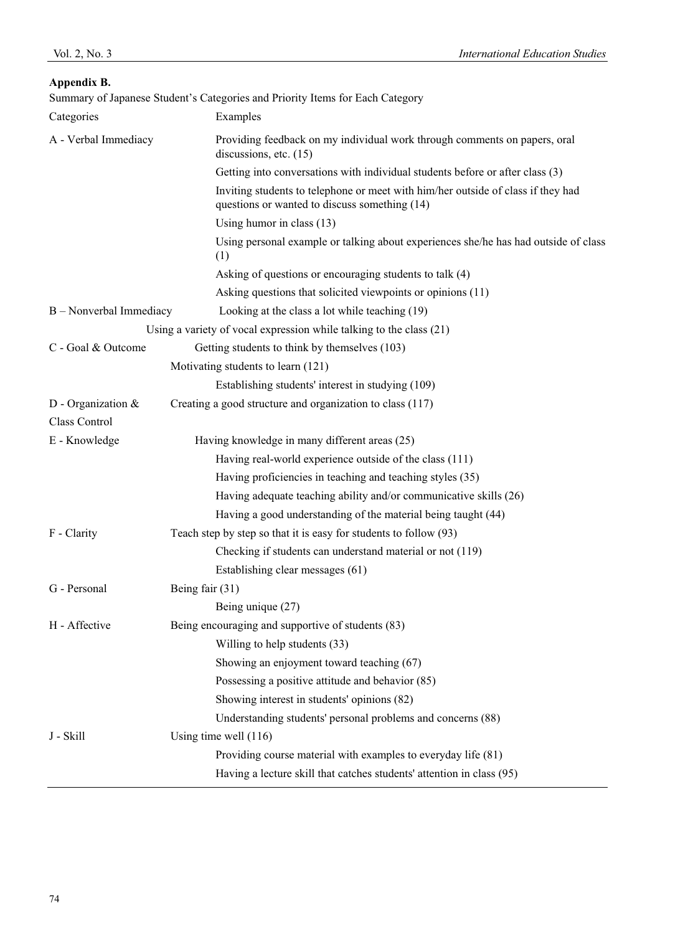# **Appendix B.**

|                         | Summary of Japanese Student's Categories and Priority Items for Each Category                                                     |  |  |
|-------------------------|-----------------------------------------------------------------------------------------------------------------------------------|--|--|
| Categories              | Examples                                                                                                                          |  |  |
| A - Verbal Immediacy    | Providing feedback on my individual work through comments on papers, oral<br>discussions, etc. $(15)$                             |  |  |
|                         | Getting into conversations with individual students before or after class (3)                                                     |  |  |
|                         | Inviting students to telephone or meet with him/her outside of class if they had<br>questions or wanted to discuss something (14) |  |  |
|                         | Using humor in class (13)                                                                                                         |  |  |
|                         | Using personal example or talking about experiences she/he has had outside of class<br>(1)                                        |  |  |
|                         | Asking of questions or encouraging students to talk (4)                                                                           |  |  |
|                         | Asking questions that solicited viewpoints or opinions (11)                                                                       |  |  |
| B - Nonverbal Immediacy | Looking at the class a lot while teaching (19)                                                                                    |  |  |
|                         | Using a variety of vocal expression while talking to the class $(21)$                                                             |  |  |
| C - Goal & Outcome      | Getting students to think by themselves (103)                                                                                     |  |  |
|                         | Motivating students to learn (121)                                                                                                |  |  |
|                         | Establishing students' interest in studying (109)                                                                                 |  |  |
| D - Organization $&$    | Creating a good structure and organization to class (117)                                                                         |  |  |
| Class Control           |                                                                                                                                   |  |  |
| E - Knowledge           | Having knowledge in many different areas (25)                                                                                     |  |  |
|                         | Having real-world experience outside of the class (111)                                                                           |  |  |
|                         | Having proficiencies in teaching and teaching styles (35)                                                                         |  |  |
|                         | Having adequate teaching ability and/or communicative skills (26)                                                                 |  |  |
|                         | Having a good understanding of the material being taught (44)                                                                     |  |  |
| F - Clarity             | Teach step by step so that it is easy for students to follow (93)                                                                 |  |  |
|                         | Checking if students can understand material or not (119)                                                                         |  |  |
|                         | Establishing clear messages (61)                                                                                                  |  |  |
| G - Personal            | Being fair (31)                                                                                                                   |  |  |
|                         | Being unique (27)                                                                                                                 |  |  |
| H - Affective           | Being encouraging and supportive of students (83)                                                                                 |  |  |
|                         | Willing to help students (33)                                                                                                     |  |  |
|                         | Showing an enjoyment toward teaching (67)                                                                                         |  |  |
|                         | Possessing a positive attitude and behavior (85)                                                                                  |  |  |
|                         | Showing interest in students' opinions (82)                                                                                       |  |  |
|                         | Understanding students' personal problems and concerns (88)                                                                       |  |  |
| J - Skill               | Using time well $(116)$                                                                                                           |  |  |
|                         | Providing course material with examples to everyday life (81)                                                                     |  |  |
|                         | Having a lecture skill that catches students' attention in class (95)                                                             |  |  |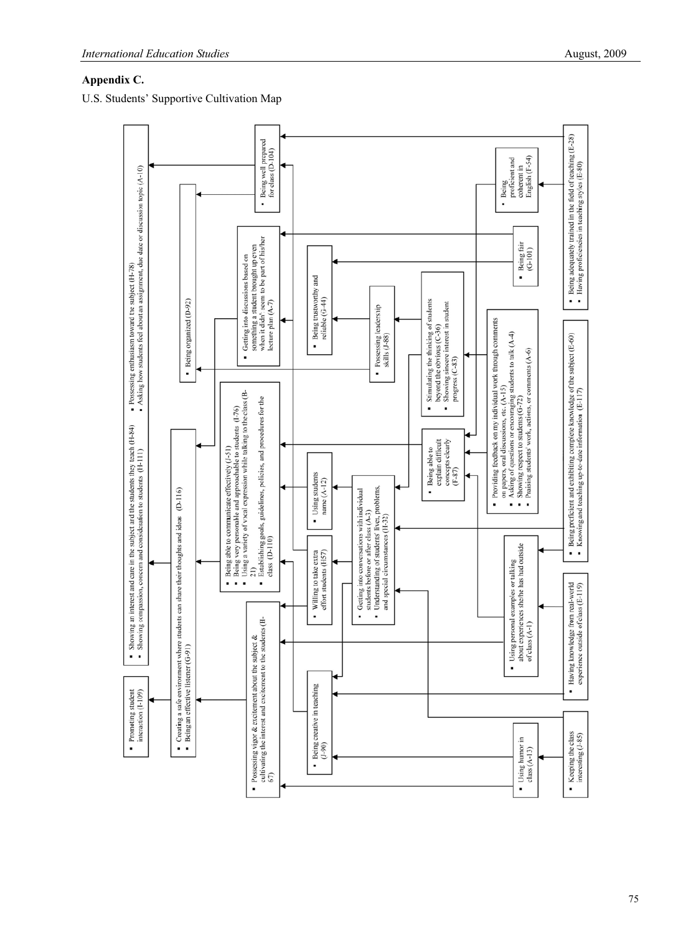# **Appendix C.**

U.S. Students' Supportive Cultivation Map